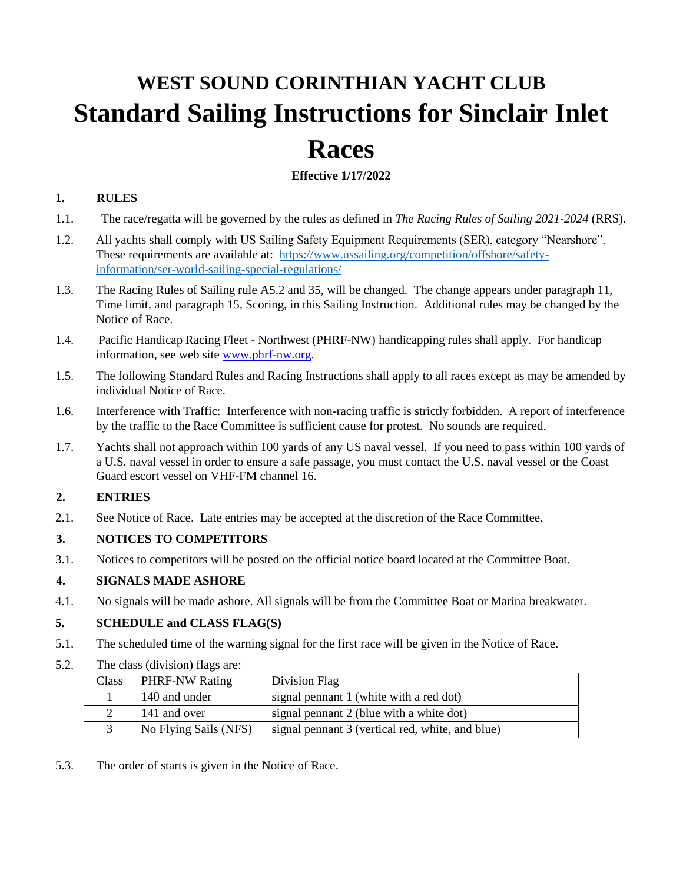# **WEST SOUND CORINTHIAN YACHT CLUB Standard Sailing Instructions for Sinclair Inlet Races**

# **Effective 1/17/2022**

#### **1. RULES**

- 1.1. The race/regatta will be governed by the rules as defined in *The Racing Rules of Sailing 2021-2024* (RRS).
- 1.2. All yachts shall comply with US Sailing Safety Equipment Requirements (SER), category "Nearshore". These requirements are available at: [https://www.ussailing.org/competition/offshore/safety](https://www.ussailing.org/competition/offshore/safety-information/ser-world-sailing-special-regulations/)[information/ser-world-sailing-special-regulations/](https://www.ussailing.org/competition/offshore/safety-information/ser-world-sailing-special-regulations/)
- 1.3. The Racing Rules of Sailing rule A5.2 and 35, will be changed. The change appears under paragraph 11, Time limit, and paragraph 15, Scoring, in this Sailing Instruction. Additional rules may be changed by the Notice of Race.
- 1.4. Pacific Handicap Racing Fleet Northwest (PHRF-NW) handicapping rules shall apply. For handicap information, see web site [www.phrf-nw.org.](http://www.phrf-nw.org/)
- 1.5. The following Standard Rules and Racing Instructions shall apply to all races except as may be amended by individual Notice of Race.
- 1.6. Interference with Traffic: Interference with non-racing traffic is strictly forbidden. A report of interference by the traffic to the Race Committee is sufficient cause for protest. No sounds are required.
- 1.7. Yachts shall not approach within 100 yards of any US naval vessel. If you need to pass within 100 yards of a U.S. naval vessel in order to ensure a safe passage, you must contact the U.S. naval vessel or the Coast Guard escort vessel on VHF-FM channel 16.

# **2. ENTRIES**

2.1. See Notice of Race. Late entries may be accepted at the discretion of the Race Committee.

# **3. NOTICES TO COMPETITORS**

3.1. Notices to competitors will be posted on the official notice board located at the Committee Boat.

#### **4. SIGNALS MADE ASHORE**

4.1. No signals will be made ashore. All signals will be from the Committee Boat or Marina breakwater.

#### **5. SCHEDULE and CLASS FLAG(S)**

- 5.1. The scheduled time of the warning signal for the first race will be given in the Notice of Race.
- 5.2. The class (division) flags are:

| Class | <b>PHRF-NW Rating</b> | Division Flag                                    |
|-------|-----------------------|--------------------------------------------------|
|       | 140 and under         | signal pennant 1 (white with a red dot)          |
|       | 141 and over          | signal pennant 2 (blue with a white dot)         |
|       | No Flying Sails (NFS) | signal pennant 3 (vertical red, white, and blue) |

5.3. The order of starts is given in the Notice of Race.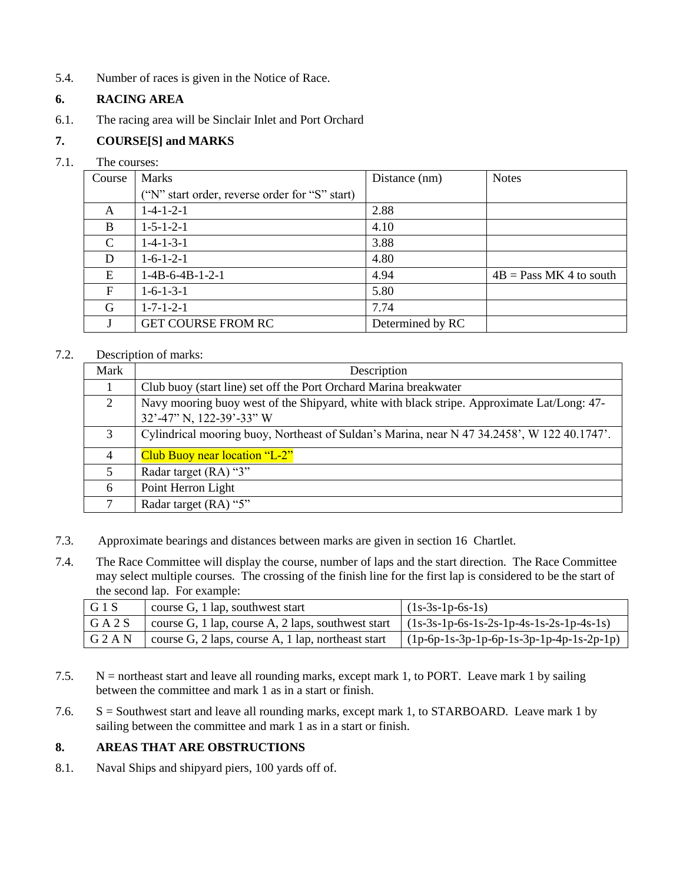5.4. Number of races is given in the Notice of Race.

# **6. RACING AREA**

6.1. The racing area will be Sinclair Inlet and Port Orchard

# **7. COURSE[S] and MARKS**

#### 7.1. The courses:

| Course       | <b>Marks</b>                                   | Distance (nm)    | <b>Notes</b>              |
|--------------|------------------------------------------------|------------------|---------------------------|
|              | ("N" start order, reverse order for "S" start) |                  |                           |
| A            | $1-4-1-2-1$                                    | 2.88             |                           |
| B            | $1 - 5 - 1 - 2 - 1$                            | 4.10             |                           |
| C            | $1 - 4 - 1 - 3 - 1$                            | 3.88             |                           |
| D            | $1-6-1-2-1$                                    | 4.80             |                           |
| E            | $1-4B-6-4B-1-2-1$                              | 4.94             | $4B = Pass MK 4 to south$ |
| $\mathbf{F}$ | $1-6-1-3-1$                                    | 5.80             |                           |
| G            | $1 - 7 - 1 - 2 - 1$                            | 7.74             |                           |
|              | <b>GET COURSE FROM RC</b>                      | Determined by RC |                           |

#### 7.2. Description of marks:

| Mark | Description                                                                                                            |  |
|------|------------------------------------------------------------------------------------------------------------------------|--|
|      | Club buoy (start line) set off the Port Orchard Marina breakwater                                                      |  |
| 2    | Navy mooring buoy west of the Shipyard, white with black stripe. Approximate Lat/Long: 47-<br>32'-47" N, 122-39'-33" W |  |
| 3    | Cylindrical mooring buoy, Northeast of Suldan's Marina, near N 47 34.2458', W 122 40.1747'.                            |  |
| 4    | Club Buoy near location "L-2"                                                                                          |  |
| 5    | Radar target (RA) "3"                                                                                                  |  |
| 6    | Point Herron Light                                                                                                     |  |
| 7    | Radar target (RA) "5"                                                                                                  |  |

- 7.3. Approximate bearings and distances between marks are given in section 16 Chartlet.
- 7.4. The Race Committee will display the course, number of laps and the start direction. The Race Committee may select multiple courses. The crossing of the finish line for the first lap is considered to be the start of the second lap. For example:

| G1S       | $\blacksquare$ course G, 1 lap, southwest start                                               | $(1s-3s-1p-6s-1s)$                         |
|-----------|-----------------------------------------------------------------------------------------------|--------------------------------------------|
| G A 2 S   | course G, 1 lap, course A, 2 laps, southwest start $(1s-3s-1p-6s-1s-2s-1p-4s-1s-2s-1p-4s-1s)$ |                                            |
| $G$ 2 A N | $\vert$ course G, 2 laps, course A, 1 lap, northeast start                                    | $(1p-6p-1s-3p-1p-6p-1s-3p-1p-4p-1s-2p-1p)$ |

- 7.5. N = northeast start and leave all rounding marks, except mark 1, to PORT. Leave mark 1 by sailing between the committee and mark 1 as in a start or finish.
- 7.6. S = Southwest start and leave all rounding marks, except mark 1, to STARBOARD. Leave mark 1 by sailing between the committee and mark 1 as in a start or finish.

# **8. AREAS THAT ARE OBSTRUCTIONS**

8.1. Naval Ships and shipyard piers, 100 yards off of.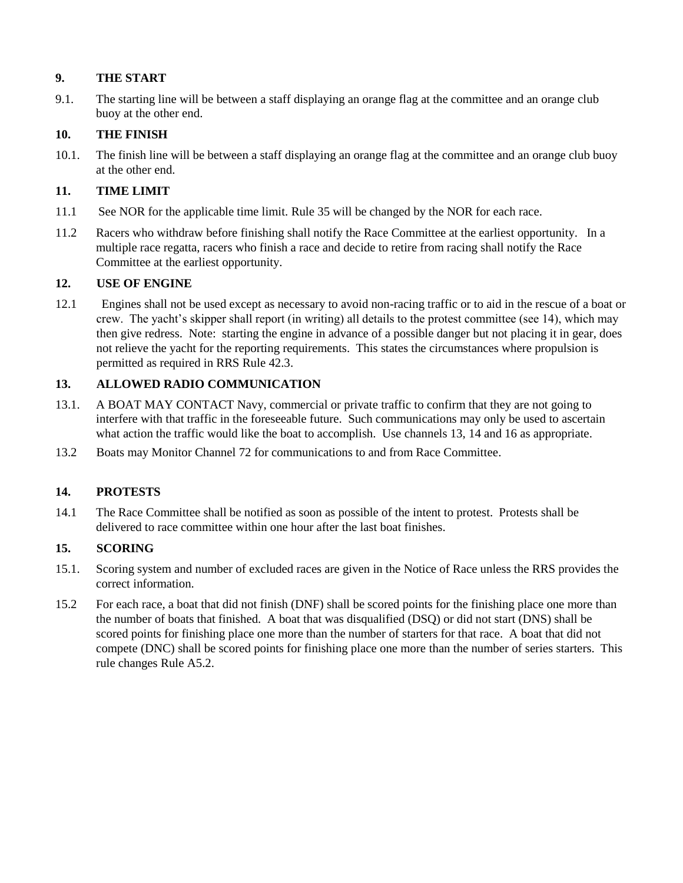# **9. THE START**

9.1. The starting line will be between a staff displaying an orange flag at the committee and an orange club buoy at the other end.

# **10. THE FINISH**

10.1. The finish line will be between a staff displaying an orange flag at the committee and an orange club buoy at the other end.

# **11. TIME LIMIT**

- 11.1 See NOR for the applicable time limit. Rule 35 will be changed by the NOR for each race.
- 11.2 Racers who withdraw before finishing shall notify the Race Committee at the earliest opportunity. In a multiple race regatta, racers who finish a race and decide to retire from racing shall notify the Race Committee at the earliest opportunity.

#### **12. USE OF ENGINE**

12.1 Engines shall not be used except as necessary to avoid non-racing traffic or to aid in the rescue of a boat or crew. The yacht's skipper shall report (in writing) all details to the protest committee (see 14), which may then give redress. Note: starting the engine in advance of a possible danger but not placing it in gear, does not relieve the yacht for the reporting requirements. This states the circumstances where propulsion is permitted as required in RRS Rule 42.3.

# **13. ALLOWED RADIO COMMUNICATION**

- 13.1. A BOAT MAY CONTACT Navy, commercial or private traffic to confirm that they are not going to interfere with that traffic in the foreseeable future. Such communications may only be used to ascertain what action the traffic would like the boat to accomplish. Use channels 13, 14 and 16 as appropriate.
- 13.2 Boats may Monitor Channel 72 for communications to and from Race Committee.

# **14. PROTESTS**

14.1 The Race Committee shall be notified as soon as possible of the intent to protest. Protests shall be delivered to race committee within one hour after the last boat finishes.

# **15. SCORING**

- 15.1. Scoring system and number of excluded races are given in the Notice of Race unless the RRS provides the correct information.
- 15.2 For each race, a boat that did not finish (DNF) shall be scored points for the finishing place one more than the number of boats that finished. A boat that was disqualified (DSQ) or did not start (DNS) shall be scored points for finishing place one more than the number of starters for that race. A boat that did not compete (DNC) shall be scored points for finishing place one more than the number of series starters. This rule changes Rule A5.2.